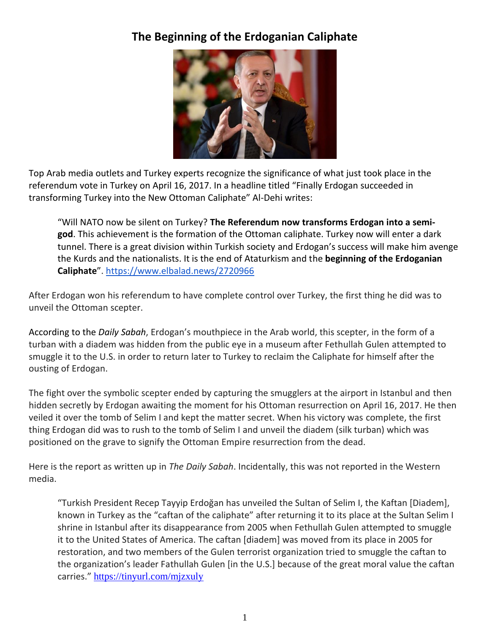## **The Beginning of the Erdoganian Caliphate**



Top Arab media outlets and Turkey experts recognize the significance of what just took place in the referendum vote in Turkey on April 16, 2017. In a headline titled "Finally Erdogan succeeded in transforming Turkey into the New Ottoman Caliphate" Al-Dehi writes:

"Will NATO now be silent on Turkey? **The Referendum now transforms Erdogan into a semigod**. This achievement is the formation of the Ottoman caliphate. Turkey now will enter a dark tunnel. There is a great division within Turkish society and Erdogan's success will make him avenge the Kurds and the nationalists. It is the end of Ataturkism and the **beginning of the Erdoganian Caliphate**". <https://www.elbalad.news/2720966>

After Erdogan won his referendum to have complete control over Turkey, the first thing he did was to unveil the Ottoman scepter.

According to the *Daily Sabah*, Erdogan's mouthpiece in the Arab world, this scepter, in the form of a turban with a diadem was hidden from the public eye in a museum after Fethullah Gulen attempted to smuggle it to the U.S. in order to return later to Turkey to reclaim the Caliphate for himself after the ousting of Erdogan.

The fight over the symbolic scepter ended by capturing the smugglers at the airport in Istanbul and then hidden secretly by Erdogan awaiting the moment for his Ottoman resurrection on April 16, 2017. He then veiled it over the tomb of Selim I and kept the matter secret. When his victory was complete, the first thing Erdogan did was to rush to the tomb of Selim I and unveil the diadem (silk turban) which was positioned on the grave to signify the Ottoman Empire resurrection from the dead.

Here is the report as written up in *The Daily Sabah*. Incidentally, this was not reported in the Western media.

"Turkish President Recep Tayyip Erdoğan has unveiled the Sultan of Selim I, the Kaftan [Diadem], known in Turkey as the "caftan of the caliphate" after returning it to its place at the Sultan Selim I shrine in Istanbul after its disappearance from 2005 when Fethullah Gulen attempted to smuggle it to the United States of America. The caftan [diadem] was moved from its place in 2005 for restoration, and two members of the Gulen terrorist organization tried to smuggle the caftan to the organization's leader Fathullah Gulen [in the U.S.] because of the great moral value the caftan carries." <https://tinyurl.com/mjzxuly>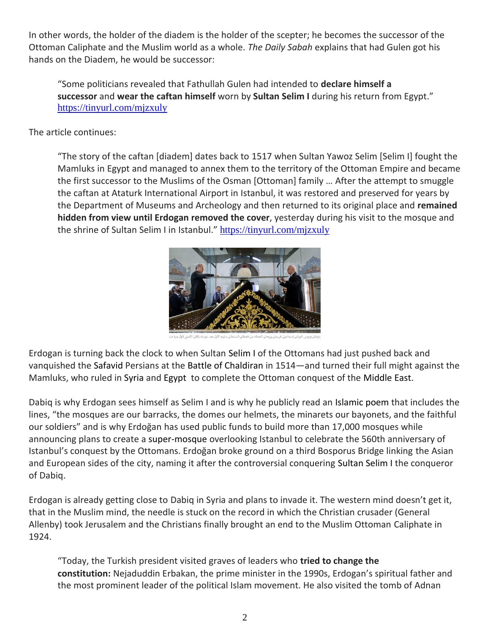In other words, the holder of the diadem is the holder of the scepter; he becomes the successor of the Ottoman Caliphate and the Muslim world as a whole. *The Daily Sabah* explains that had Gulen got his hands on the Diadem, he would be successor:

"Some politicians revealed that Fathullah Gulen had intended to **declare himself a successor** and **wear the caftan himself** worn by **Sultan Selim I** during his return from Egypt." <https://tinyurl.com/mjzxuly>

The article continues:

"The story of the caftan [diadem] dates back to 1517 when Sultan Yawoz Selim [Selim I] fought the Mamluks in Egypt and managed to annex them to the territory of the Ottoman Empire and became the first successor to the Muslims of the Osman [Ottoman] family … After the attempt to smuggle the caftan at Ataturk International Airport in Istanbul, it was restored and preserved for years by the Department of Museums and Archeology and then returned to its original place and **remained hidden from view until Erdogan removed the cover**, yesterday during his visit to the mosque and the shrine of Sultan Selim I in Istanbul." <https://tinyurl.com/mjzxuly>



Erdogan is turning back the clock to when Sultan Selim I of the Ottomans had just pushed back and vanquished the Safavid Persians at the Battle of Chaldiran in 1514—and turned their full might against the Mamluks, who ruled in Syria and Egypt to complete the Ottoman conquest of the Middle East.

Dabiq is why Erdogan sees himself as Selim I and is why he publicly read an Islamic poem that includes the lines, "the mosques are our barracks, the domes our helmets, the minarets our bayonets, and the faithful our soldiers" and is why Erdoğan has used public funds to build more than 17,000 mosques while announcing plans to create a super-mosque overlooking Istanbul to celebrate the 560th anniversary of Istanbul's conquest by the Ottomans. Erdoğan broke ground on a third Bosporus Bridge linking the Asian and European sides of the city, naming it after the controversial conquering Sultan Selim I the conqueror of Dabiq.

Erdogan is already getting close to Dabiq in Syria and plans to invade it. The western mind doesn't get it, that in the Muslim mind, the needle is stuck on the record in which the Christian crusader (General Allenby) took Jerusalem and the Christians finally brought an end to the Muslim Ottoman Caliphate in 1924.

"Today, the Turkish president visited graves of leaders who **tried to change the constitution:** Nejaduddin Erbakan, the prime minister in the 1990s, Erdogan's spiritual father and the most prominent leader of the political Islam movement. He also visited the tomb of Adnan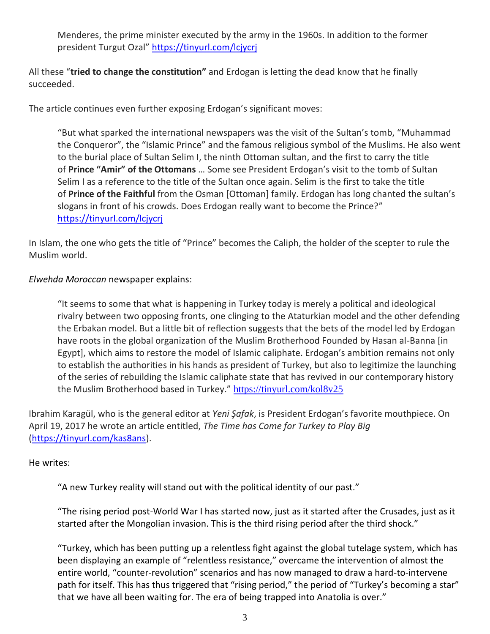Menderes, the prime minister executed by the army in the 1960s. In addition to the former president Turgut Ozal" <https://tinyurl.com/lcjycrj>

All these "**tried to change the constitution"** and Erdogan is letting the dead know that he finally succeeded.

The article continues even further exposing Erdogan's significant moves:

"But what sparked the international newspapers was the visit of the Sultan's tomb, "Muhammad the Conqueror", the "Islamic Prince" and the famous religious symbol of the Muslims. He also went to the burial place of Sultan Selim I, the ninth Ottoman sultan, and the first to carry the title of **Prince "Amir" of the Ottomans** … Some see President Erdogan's visit to the tomb of Sultan Selim I as a reference to the title of the Sultan once again. Selim is the first to take the title of **Prince of the Faithful** from the Osman [Ottoman] family. Erdogan has long chanted the sultan's slogans in front of his crowds. Does Erdogan really want to become the Prince?" <https://tinyurl.com/lcjycrj>

In Islam, the one who gets the title of "Prince" becomes the Caliph, the holder of the scepter to rule the Muslim world.

*Elwehda Moroccan* newspaper explains:

"It seems to some that what is happening in Turkey today is merely a political and ideological rivalry between two opposing fronts, one clinging to the Ataturkian model and the other defending the Erbakan model. But a little bit of reflection suggests that the bets of the model led by Erdogan have roots in the global organization of the Muslim Brotherhood Founded by Hasan al-Banna [in Egypt], which aims to restore the model of Islamic caliphate. Erdogan's ambition remains not only to establish the authorities in his hands as president of Turkey, but also to legitimize the launching of the series of rebuilding the Islamic caliphate state that has revived in our contemporary history the Muslim Brotherhood based in Turkey." <https://tinyurl.com/kol8v25>

Ibrahim Karagül, who is the general editor at *Yeni Şafak*, is President Erdogan's favorite mouthpiece. On April 19, 2017 he wrote an article entitled, *The Time has Come for Turkey to Play Big*  [\(https://tinyurl.com/kas8ans\)](https://tinyurl.com/kas8ans).

He writes:

"A new Turkey reality will stand out with the political identity of our past."

"The rising period post-World War I has started now, just as it started after the Crusades, just as it started after the Mongolian invasion. This is the third rising period after the third shock."

"Turkey, which has been putting up a relentless fight against the global tutelage system, which has been displaying an example of "relentless resistance," overcame the intervention of almost the entire world, "counter-revolution" scenarios and has now managed to draw a hard-to-intervene path for itself. This has thus triggered that "rising period," the period of "Turkey's becoming a star" that we have all been waiting for. The era of being trapped into Anatolia is over."